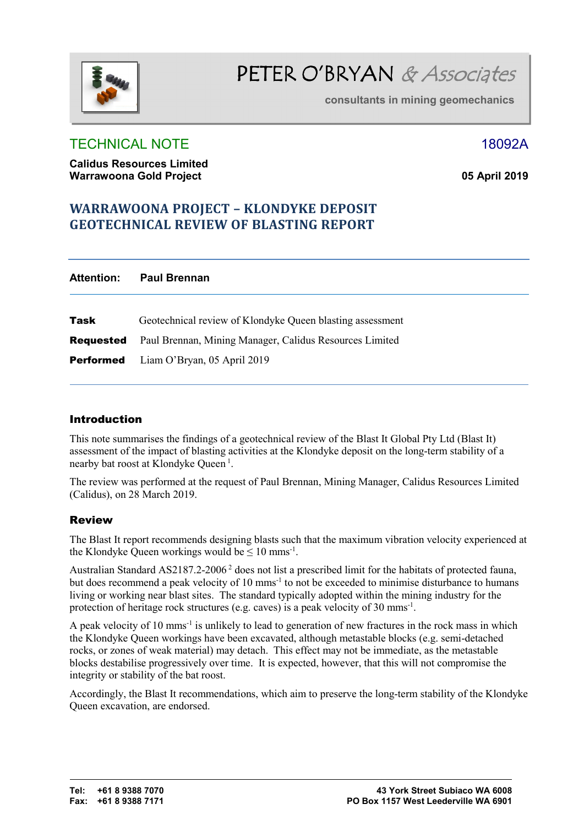

**consultants in mining geomechanics** 

# TECHNICAL NOTE 18092A

**Calidus Resources Limited Warrawoona Gold Project 05 April 2019**

# **WARRAWOONA PROJECT - KLONDYKE DEPOSIT GEOTECHNICAL REVIEW OF BLASTING REPORT**

| Attention: | <b>Paul Brennan</b>                                                      |
|------------|--------------------------------------------------------------------------|
| Task       | Geotechnical review of Klondyke Queen blasting assessment                |
|            | <b>Requested</b> Paul Brennan, Mining Manager, Calidus Resources Limited |
|            | <b>Performed</b> Liam O'Bryan, 05 April 2019                             |

# Introduction

This note summarises the findings of a geotechnical review of the Blast It Global Pty Ltd (Blast It) assessment of the impact of blasting activities at the Klondyke deposit on the long-term stability of a nearby bat roost at Klondyke Queen<sup>1</sup>.

The review was performed at the request of Paul Brennan, Mining Manager, Calidus Resources Limited (Calidus), on 28 March 2019.

# Review

The Blast It report recommends designing blasts such that the maximum vibration velocity experienced at the Klondyke Queen workings would be  $\leq 10$  mms<sup>-1</sup>.

Australian Standard AS2187.2-2006<sup>2</sup> does not list a prescribed limit for the habitats of protected fauna, but does recommend a peak velocity of 10 mms<sup>-1</sup> to not be exceeded to minimise disturbance to humans living or working near blast sites. The standard typically adopted within the mining industry for the protection of heritage rock structures (e.g. caves) is a peak velocity of 30 mms<sup>-1</sup>.

A peak velocity of 10 mms-1 is unlikely to lead to generation of new fractures in the rock mass in which the Klondyke Queen workings have been excavated, although metastable blocks (e.g. semi-detached rocks, or zones of weak material) may detach. This effect may not be immediate, as the metastable blocks destabilise progressively over time. It is expected, however, that this will not compromise the integrity or stability of the bat roost.

Accordingly, the Blast It recommendations, which aim to preserve the long-term stability of the Klondyke Queen excavation, are endorsed.